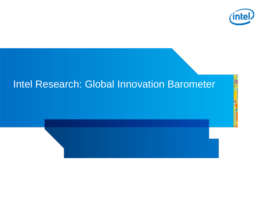

## Intel Research: Global Innovation Barometer

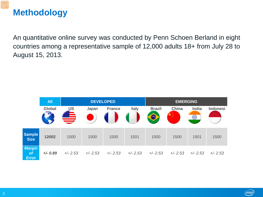#### **Methodology**

An quantitative online survey was conducted by Penn Schoen Berland in eight countries among a representative sample of 12,000 adults 18+ from July 28 to August 15, 2013.

|                                     | <b>All</b>    |            |            | <b>DEVELOPED</b> |            | <b>EMERGING</b> |                              |            |                 |
|-------------------------------------|---------------|------------|------------|------------------|------------|-----------------|------------------------------|------------|-----------------|
|                                     | <b>Global</b> | <b>US</b>  | Japan      | <b>France</b>    | Italy      | <b>Brazil</b>   | China                        | India      | <b>Indonesi</b> |
|                                     |               | $\equiv$   |            |                  |            | $\bigcirc$      | <b>AND THE REAL PROPERTY</b> | $\bigcirc$ |                 |
| <b>Sample</b><br><b>Size</b>        | 12002         | 1500       | 1500       | 1500             | 1501       | 1500            | 1500                         | 1501       | 1500            |
| <b>Margin</b><br>of<br><b>Error</b> | $+/- 0.89$    | $+/- 2.53$ | $+/- 2.53$ | $+/- 2.53$       | $+/- 2.53$ | $+/- 2.53$      | $+/- 2.53$                   | $+/- 2.53$ | $+/- 2.53$      |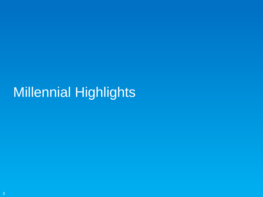# Millennial Highlights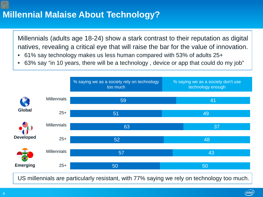#### **Millennial Malaise About Technology?**

Millennials (adults age 18-24) show a stark contrast to their reputation as digital natives, revealing a critical eye that will raise the bar for the value of innovation.

- 61% say technology makes us less human compared with 53% of adults 25+
- 63% say "in 10 years, there will be a technology , device or app that could do my job"



US millennials are particularly resistant, with 77% saying we rely on technology too much.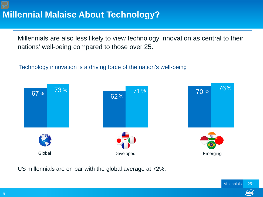#### v **Millennial Malaise About Technology?**

Millennials are also less likely to view technology innovation as central to their nations' well-being compared to those over 25.

#### Technology innovation is a driving force of the nation's well-being



US millennials are on par with the global average at 72%.

(intel)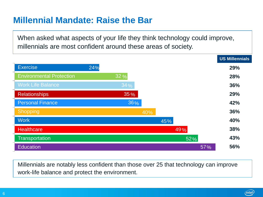#### **Millennial Mandate: Raise the Bar**

When asked what aspects of your life they think technology could improve, millennials are most confident around these areas of society.



Millennials are notably less confident than those over 25 that technology can improve work-life balance and protect the environment.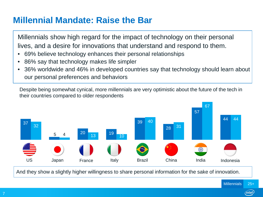#### **Millennial Mandate: Raise the Bar**

Millennials show high regard for the impact of technology on their personal lives, and a desire for innovations that understand and respond to them.

- 69% believe technology enhances their personal relationships
- 86% say that technology makes life simpler
- 36% worldwide and 46% in developed countries say that technology should learn about our personal preferences and behaviors

Despite being somewhat cynical, more millennials are very optimistic about the future of the tech in their countries compared to older respondents



And they show a slightly higher willingness to share personal information for the sake of innovation.

intel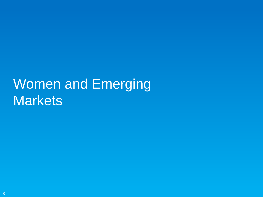# Women and Emerging **Markets**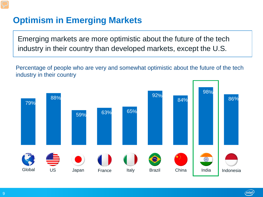### **Optimism in Emerging Markets**

Emerging markets are more optimistic about the future of the tech industry in their country than developed markets, except the U.S.

Percentage of people who are very and somewhat optimistic about the future of the tech industry in their country

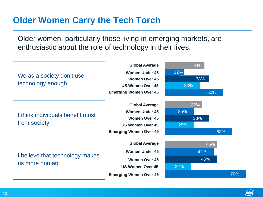#### **Older Women Carry the Tech Torch**

Older women, particularly those living in emerging markets, are enthusiastic about the role of technology in their lives.



 $(intel)$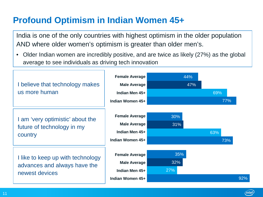#### **Profound Optimism in Indian Women 45+**

India is one of the only countries with highest optimism in the older population AND where older women's optimism is greater than older men's.

• Older Indian women are incredibly positive, and are twice as likely (27%) as the global average to see individuals as driving tech innovation

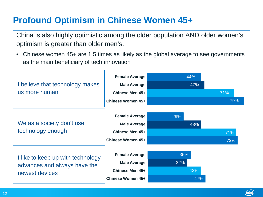### **Profound Optimism in Chinese Women 45+**

China is also highly optimistic among the older population AND older women's optimism is greater than older men's.

• Chinese women 45+ are 1.5 times as likely as the global average to see governments as the main beneficiary of tech innovation

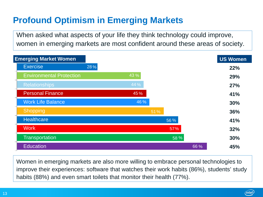### **Profound Optimism in Emerging Markets**

When asked what aspects of your life they think technology could improve, women in emerging markets are most confident around these areas of society.



Women in emerging markets are also more willing to embrace personal technologies to improve their experiences: software that watches their work habits (86%), students' study habits (88%) and even smart toilets that monitor their health (77%).

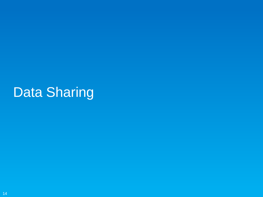# Data Sharing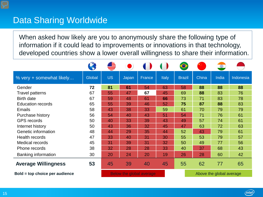#### Data Sharing Worldwide

When asked how likely are you to anonymously share the following type of information if it could lead to improvements or innovations in that technology, developed countries show a lower overall willingness to share their information.

|                                |        |                          |       |        |              | $\bullet$     |                          | $\bigcirc$ |                  |
|--------------------------------|--------|--------------------------|-------|--------|--------------|---------------|--------------------------|------------|------------------|
| % very + somewhat likely       | Global | <b>US</b>                | Japan | France | <b>Italy</b> | <b>Brazil</b> | China                    | India      | <b>Indonesia</b> |
| Gender                         | 72     | 81                       | 61    | 54     | 63           | 58            | 88                       | 88         | 88               |
| <b>Travel patterns</b>         | 67     | 55                       | 47    | 67     | 45           | 69            | 88                       | 83         | 76               |
| <b>Birth date</b>              | 67     | 59                       | 48    | 61     | 66           | 73            | 71                       | 83         | 78               |
| <b>Education records</b>       | 65     | 55                       | 39    | 46     | 52           | 75            | 87                       | 88         | 83               |
| <b>Emails</b>                  | 58     | 43                       | 38    | 33     | 59           | 61            | 70                       | 79         | 79               |
| Purchase history               | 56     | 54                       | 40    | 43     | 51           | 54            | 71                       | 76         | 61               |
| <b>GPS</b> records             | 50     | 40                       | 33    | 39     | 43           | 49            | 57                       | 74         | 61               |
| Internet history               | 50     | 43                       | 36    | 32     | 45           | 47            | 63                       | 72         | 63               |
| Genetic information            | 48     | 44                       | 29    | 35     | 44           | 52            | 43                       | 79         | 61               |
| <b>Health records</b>          | 47     | 33                       | 40    | 31     | 30           | 55            | 53                       | 79         | 57               |
| <b>Medical records</b>         | 45     | 31                       | 39    | 31     | 32           | 50            | 49                       | 77         | 56               |
| Phone records                  | 38     | 32                       | 28    | 28     | 33           | 40            | 37                       | 68         | 43               |
| Banking information            | 30     | 20                       | 24    | 20     | 19           | 26            | 28                       | 60         | 42               |
| <b>Average Willingness</b>     | 53     | 45                       | 39    | 40     | 45           | 55            | 62                       | 77         | 65               |
| Bold = top choice per audience |        | Below the global average |       |        |              |               | Above the global average |            |                  |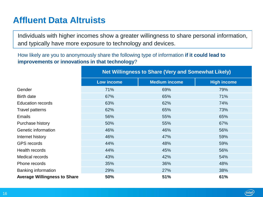#### **Affluent Data Altruists**

Individuals with higher incomes show a greater willingness to share personal information, and typically have more exposure to technology and devices.

How likely are you to anonymously share the following type of information **if it could lead to improvements or innovations in that technology**?

|                                     | <b>Net Willingness to Share (Very and Somewhat Likely)</b> |                      |                    |  |  |  |
|-------------------------------------|------------------------------------------------------------|----------------------|--------------------|--|--|--|
|                                     | <b>Low income</b>                                          | <b>Medium income</b> | <b>High income</b> |  |  |  |
| Gender                              | 71%                                                        | 69%                  | 79%                |  |  |  |
| Birth date                          | 67%                                                        | 65%                  | 71%                |  |  |  |
| <b>Education records</b>            | 63%                                                        | 62%                  | 74%                |  |  |  |
| Travel patterns                     | 62%                                                        | 65%                  | 73%                |  |  |  |
| <b>Emails</b>                       | 56%                                                        | 55%                  | 65%                |  |  |  |
| Purchase history                    | 50%                                                        | 55%                  | 67%                |  |  |  |
| Genetic information                 | 46%                                                        | 46%                  | 56%                |  |  |  |
| Internet history                    | 46%                                                        | 47%                  | 59%                |  |  |  |
| <b>GPS</b> records                  | 44%                                                        | 48%                  | 59%                |  |  |  |
| Health records                      | 44%                                                        | 45%                  | 56%                |  |  |  |
| Medical records                     | 43%                                                        | 42%                  | 54%                |  |  |  |
| Phone records                       | 35%                                                        | 36%                  | 48%                |  |  |  |
| Banking information                 | 29%                                                        | 27%                  | 38%                |  |  |  |
| <b>Average Willingness to Share</b> | 50%                                                        | 51%                  | 61%                |  |  |  |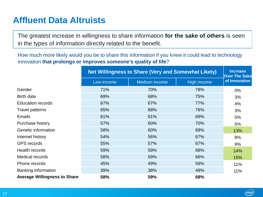#### **Affluent Data Altruists**

The greatest increase in willingness to share information **for the sake of others** is seen in the types of information directly related to the benefit.

How much more likely would you be to share this information if you knew it could lead to technology innovation **that prolongs or improves someone's quality of life**?

|                                     | <b>Net Willingness to Share (Very and Somewhat Likely)</b> | <b>Increase</b><br><b>Over The Sake</b> |             |               |
|-------------------------------------|------------------------------------------------------------|-----------------------------------------|-------------|---------------|
|                                     | Low income                                                 | Medium income                           | High income | of Innovation |
| Gender                              | 71%                                                        | 70%                                     | 78%         | 0%            |
| Birth date                          | 69%                                                        | 68%                                     | 75%         | 3%            |
| <b>Education records</b>            | 67%                                                        | 67%                                     | 77%         | 4%            |
| <b>Travel patterns</b>              | 65%                                                        | 68%                                     | 76%         | 3%            |
| <b>Emails</b>                       | 61%                                                        | 61%                                     | 69%         | 5%            |
| Purchase history                    | 57%                                                        | 60%                                     | 70%         | 5%            |
| Genetic information                 | 58%                                                        | 60%                                     | 68%         | 13%           |
| Internet history                    | 54%                                                        | 56%                                     | 67%         | 8%            |
| <b>GPS</b> records                  | 55%                                                        | 57%                                     | 67%         | 9%            |
| Health records                      | 59%                                                        | 59%                                     | 68%         | 14%           |
| Medical records                     | 58%                                                        | 59%                                     | 66%         | 15%           |
| Phone records                       | 45%                                                        | 49%                                     | 59%         | 11%           |
| Banking information                 | 39%                                                        | 38%                                     | 49%         | 11%           |
| <b>Average Willingness to Share</b> | 58%                                                        | 59%                                     | 68%         |               |